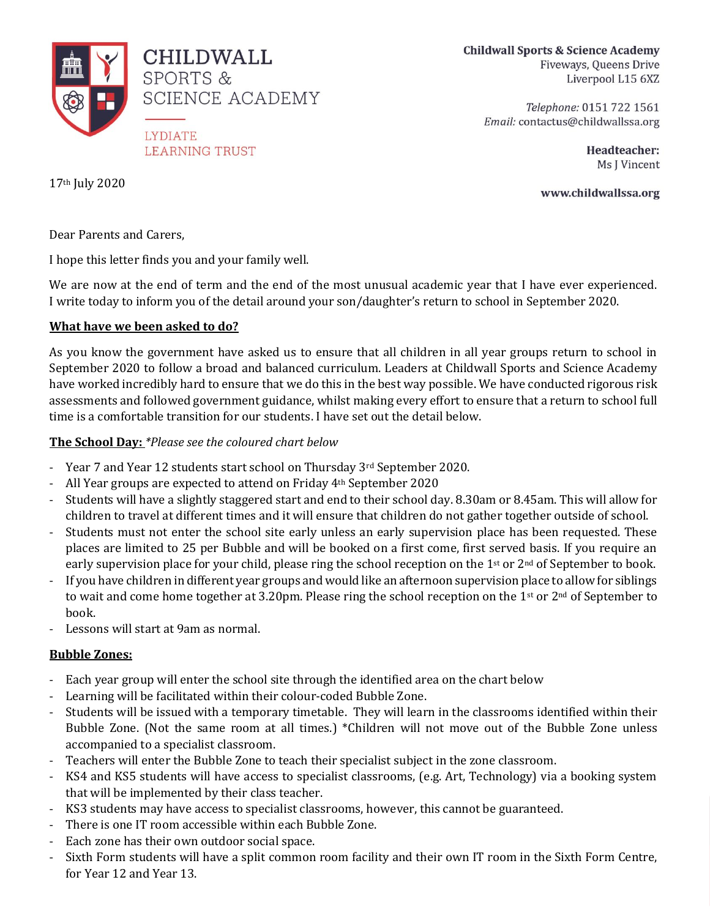

**CHILDWALL SPORTS & SCIENCE ACADEMY**  **Childwall Sports & Science Academy** Fiveways, Queens Drive Liverpool L15 6XZ

Telephone: 0151 722 1561 Email: contactus@childwallssa.org

> Headteacher: Ms J Vincent

www.childwallssa.org

17th July 2020

Dear Parents and Carers,

I hope this letter finds you and your family well.

**LYDIATE** 

**LEARNING TRUST** 

We are now at the end of term and the end of the most unusual academic year that I have ever experienced. I write today to inform you of the detail around your son/daughter's return to school in September 2020.

## **What have we been asked to do?**

As you know the government have asked us to ensure that all children in all year groups return to school in September 2020 to follow a broad and balanced curriculum. Leaders at Childwall Sports and Science Academy have worked incredibly hard to ensure that we do this in the best way possible. We have conducted rigorous risk assessments and followed government guidance, whilst making every effort to ensure that a return to school full time is a comfortable transition for our students. I have set out the detail below.

## **The School Day:** *\*Please see the coloured chart below*

- Year 7 and Year 12 students start school on Thursday  $3<sup>rd</sup>$  September 2020.
- All Year groups are expected to attend on Friday 4<sup>th</sup> September 2020
- Students will have a slightly staggered start and end to their school day. 8.30am or 8.45am. This will allow for children to travel at different times and it will ensure that children do not gather together outside of school.
- Students must not enter the school site early unless an early supervision place has been requested. These places are limited to 25 per Bubble and will be booked on a first come, first served basis. If you require an early supervision place for your child, please ring the school reception on the 1st or 2nd of September to book.
- If you have children in different year groups and would like an afternoon supervision place to allow for siblings to wait and come home together at 3.20pm. Please ring the school reception on the 1<sup>st</sup> or 2<sup>nd</sup> of September to book.
- Lessons will start at 9am as normal.

# **Bubble Zones:**

- Each year group will enter the school site through the identified area on the chart below
- Learning will be facilitated within their colour-coded Bubble Zone.
- Students will be issued with a temporary timetable. They will learn in the classrooms identified within their Bubble Zone. (Not the same room at all times.) \*Children will not move out of the Bubble Zone unless accompanied to a specialist classroom.
- Teachers will enter the Bubble Zone to teach their specialist subject in the zone classroom.
- KS4 and KS5 students will have access to specialist classrooms, (e.g. Art, Technology) via a booking system that will be implemented by their class teacher.
- KS3 students may have access to specialist classrooms, however, this cannot be guaranteed.
- There is one IT room accessible within each Bubble Zone.
- Each zone has their own outdoor social space.
- Sixth Form students will have a split common room facility and their own IT room in the Sixth Form Centre, for Year 12 and Year 13.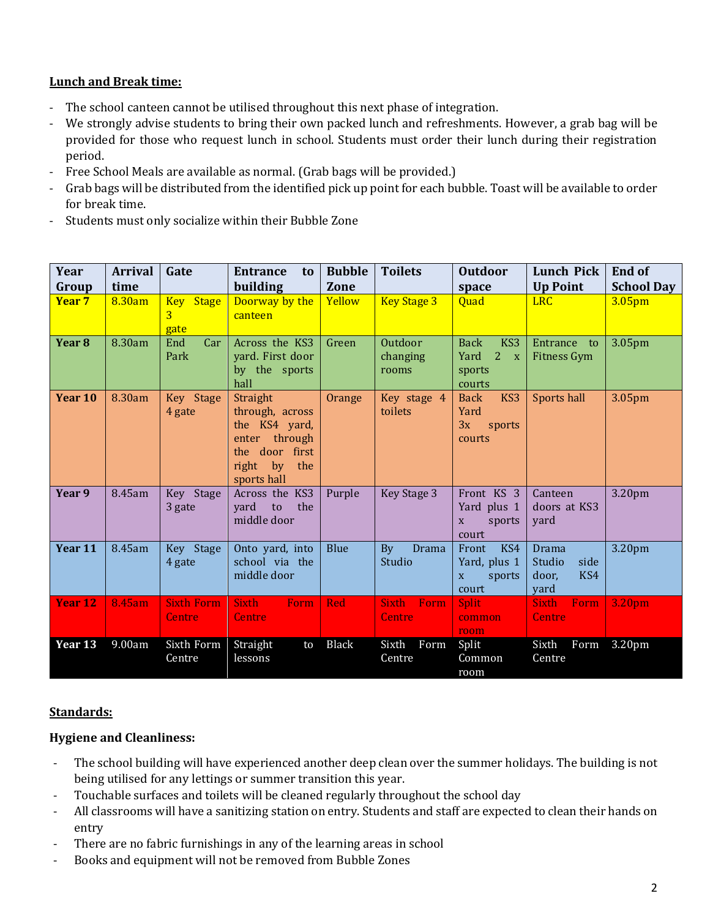## **Lunch and Break time:**

- The school canteen cannot be utilised throughout this next phase of integration.
- We strongly advise students to bring their own packed lunch and refreshments. However, a grab bag will be provided for those who request lunch in school. Students must order their lunch during their registration period.
- Free School Meals are available as normal. (Grab bags will be provided.)
- Grab bags will be distributed from the identified pick up point for each bubble. Toast will be available to order for break time.
- Students must only socialize within their Bubble Zone

| Year<br>Group     | <b>Arrival</b><br>time | Gate                               | <b>Entrance</b><br>to<br>building                                                                                 | <b>Bubble</b><br>Zone | <b>Toilets</b>                        | <b>Outdoor</b><br>space                                              | <b>Lunch Pick</b><br><b>Up Point</b>            | <b>End of</b><br><b>School Day</b> |
|-------------------|------------------------|------------------------------------|-------------------------------------------------------------------------------------------------------------------|-----------------------|---------------------------------------|----------------------------------------------------------------------|-------------------------------------------------|------------------------------------|
| Year <sub>7</sub> | 8.30am                 | <b>Key Stage</b><br>3<br>gate      | Doorway by the<br>canteen                                                                                         | Yellow                | <b>Key Stage 3</b>                    | Quad                                                                 | <b>LRC</b>                                      | 3.05 <sub>pm</sub>                 |
| Year <sub>8</sub> | 8.30am                 | End<br>Car<br>Park                 | Across the KS3<br>yard. First door<br>by the sports<br>hall                                                       | Green                 | Outdoor<br>changing<br>rooms          | KS <sub>3</sub><br><b>Back</b><br>2<br>Yard<br>X<br>sports<br>courts | Entrance to<br><b>Fitness Gym</b>               | 3.05pm                             |
| Year 10           | 8.30am                 | Key Stage<br>4 gate                | Straight<br>through, across<br>the KS4 yard,<br>enter through<br>the door first<br>right by<br>the<br>sports hall | Orange                | Key stage 4<br>toilets                | KS3<br><b>Back</b><br>Yard<br>3x<br>sports<br>courts                 | Sports hall                                     | 3.05pm                             |
| Year 9            | 8.45am                 | Key Stage<br>3 gate                | Across the KS3<br>the<br>yard<br>to<br>middle door                                                                | Purple                | Key Stage 3                           | Front KS 3<br>Yard plus 1<br>sports<br>$\overline{X}$<br>court       | Canteen<br>doors at KS3<br>yard                 | 3.20pm                             |
| Year 11           | 8.45am                 | Key Stage<br>4 gate                | Onto yard, into<br>school via the<br>middle door                                                                  | Blue                  | <b>Drama</b><br><b>By</b><br>Studio   | Front<br>KS4<br>Yard, plus 1<br>sports<br>$\mathbf{x}$<br>court      | Drama<br>Studio<br>side<br>door,<br>KS4<br>yard | 3.20pm                             |
| Year 12           | 8.45am                 | <b>Sixth Form</b><br><b>Centre</b> | <b>Sixth</b><br>Form<br><b>Centre</b>                                                                             | Red                   | Form<br><b>Sixth</b><br><b>Centre</b> | <b>Split</b><br>common<br>room                                       | <b>Sixth</b><br><b>Form</b><br>Centre           | 3.20pm                             |
| Year 13           | 9.00am                 | Sixth Form<br>Centre               | Straight<br>to<br>lessons                                                                                         | <b>Black</b>          | Sixth<br>Form<br>Centre               | Split<br>Common<br>room                                              | Sixth<br>Form<br>Centre                         | 3.20pm                             |

#### **Standards:**

#### **Hygiene and Cleanliness:**

- The school building will have experienced another deep clean over the summer holidays. The building is not being utilised for any lettings or summer transition this year.
- Touchable surfaces and toilets will be cleaned regularly throughout the school day
- All classrooms will have a sanitizing station on entry. Students and staff are expected to clean their hands on entry
- There are no fabric furnishings in any of the learning areas in school
- Books and equipment will not be removed from Bubble Zones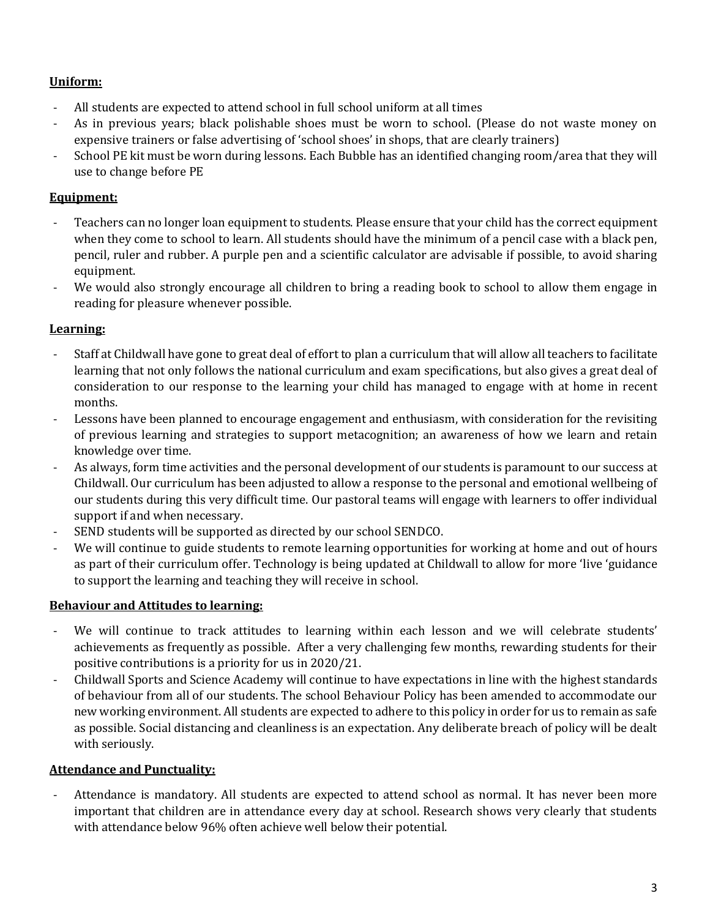## **Uniform:**

- All students are expected to attend school in full school uniform at all times
- As in previous years; black polishable shoes must be worn to school. (Please do not waste money on expensive trainers or false advertising of 'school shoes' in shops, that are clearly trainers)
- School PE kit must be worn during lessons. Each Bubble has an identified changing room/area that they will use to change before PE

## **Equipment:**

- Teachers can no longer loan equipment to students. Please ensure that your child has the correct equipment when they come to school to learn. All students should have the minimum of a pencil case with a black pen, pencil, ruler and rubber. A purple pen and a scientific calculator are advisable if possible, to avoid sharing equipment.
- We would also strongly encourage all children to bring a reading book to school to allow them engage in reading for pleasure whenever possible.

## **Learning:**

- Staff at Childwall have gone to great deal of effort to plan a curriculum that will allow all teachers to facilitate learning that not only follows the national curriculum and exam specifications, but also gives a great deal of consideration to our response to the learning your child has managed to engage with at home in recent months.
- Lessons have been planned to encourage engagement and enthusiasm, with consideration for the revisiting of previous learning and strategies to support metacognition; an awareness of how we learn and retain knowledge over time.
- As always, form time activities and the personal development of our students is paramount to our success at Childwall. Our curriculum has been adjusted to allow a response to the personal and emotional wellbeing of our students during this very difficult time. Our pastoral teams will engage with learners to offer individual support if and when necessary.
- SEND students will be supported as directed by our school SENDCO.
- We will continue to guide students to remote learning opportunities for working at home and out of hours as part of their curriculum offer. Technology is being updated at Childwall to allow for more 'live 'guidance to support the learning and teaching they will receive in school.

## **Behaviour and Attitudes to learning:**

- We will continue to track attitudes to learning within each lesson and we will celebrate students' achievements as frequently as possible. After a very challenging few months, rewarding students for their positive contributions is a priority for us in 2020/21.
- Childwall Sports and Science Academy will continue to have expectations in line with the highest standards of behaviour from all of our students. The school Behaviour Policy has been amended to accommodate our new working environment. All students are expected to adhere to this policy in order for us to remain as safe as possible. Social distancing and cleanliness is an expectation. Any deliberate breach of policy will be dealt with seriously.

## **Attendance and Punctuality:**

Attendance is mandatory. All students are expected to attend school as normal. It has never been more important that children are in attendance every day at school. Research shows very clearly that students with attendance below 96% often achieve well below their potential.